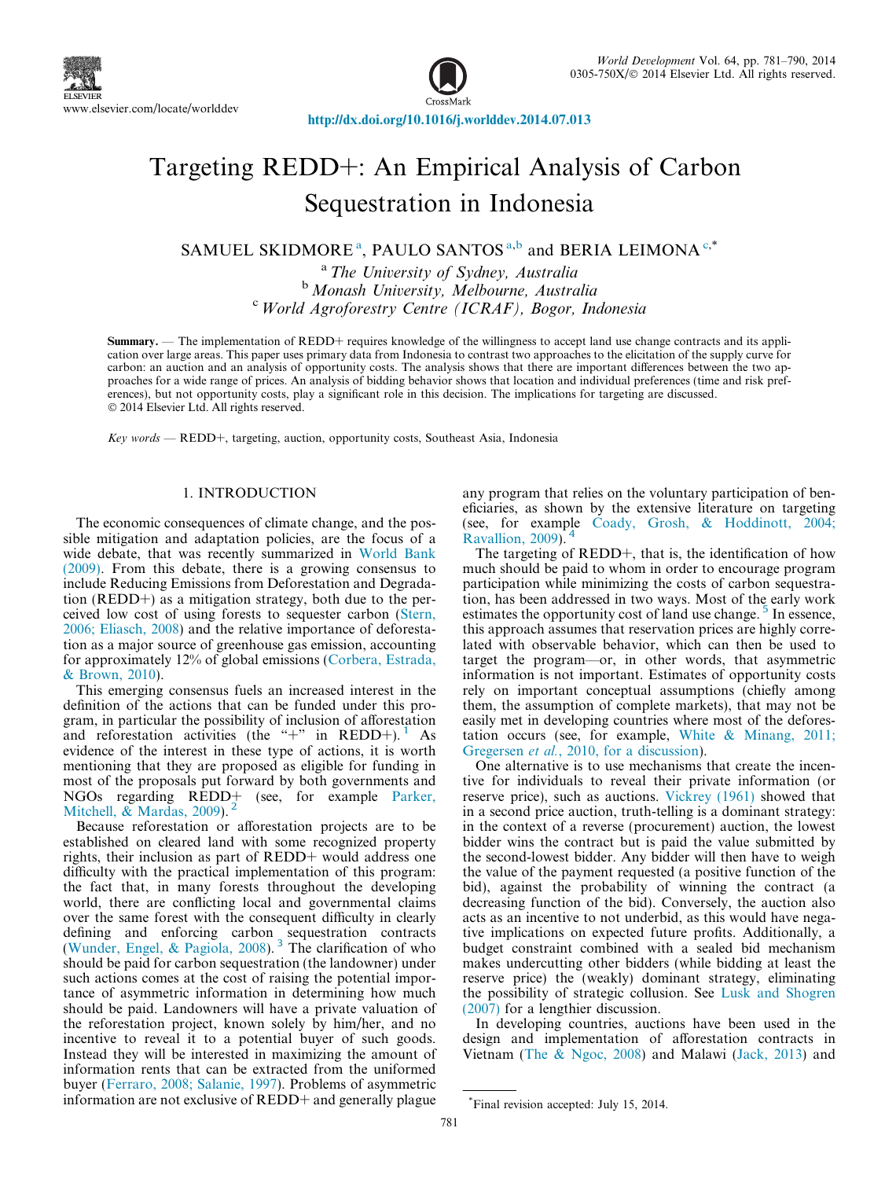

<http://dx.doi.org/10.1016/j.worlddev.2014.07.013>

# Targeting REDD+: An Empirical Analysis of Carbon Sequestration in Indonesia

SAMUEL SKIDMORE<sup>a</sup>, PAULO SANTOS<sup>a,b</sup> and BERIA LEIMONA<sup>c,\*</sup>

<sup>a</sup> The University of Sydney, Australia<br><sup>b</sup> Monash University, Melbourne, Australia World Agroforestry Centre (ICRAF), Bogor, Indonesia

Summary. — The implementation of REDD+ requires knowledge of the willingness to accept land use change contracts and its application over large areas. This paper uses primary data from Indonesia to contrast two approaches to the elicitation of the supply curve for carbon: an auction and an analysis of opportunity costs. The analysis shows that there are important differences between the two approaches for a wide range of prices. An analysis of bidding behavior shows that location and individual preferences (time and risk preferences), but not opportunity costs, play a significant role in this decision. The implications for targeting are discussed. © 2014 Elsevier Ltd. All rights reserved.

Key words — REDD+, targeting, auction, opportunity costs, Southeast Asia, Indonesia

# 1. INTRODUCTION

The economic consequences of climate change, and the possible mitigation and adaptation policies, are the focus of a wide debate, that was recently summarized in [World Bank](#page-9-0) [\(2009\).](#page-9-0) From this debate, there is a growing consensus to include Reducing Emissions from Deforestation and Degradation (REDD+) as a mitigation strategy, both due to the perceived low cost of using forests to sequester carbon ([Stern,](#page-8-0) [2006; Eliasch, 2008\)](#page-8-0) and the relative importance of deforestation as a major source of greenhouse gas emission, accounting for approximately 12% of global emissions ([Corbera, Estrada,](#page-8-0) [& Brown, 2010\)](#page-8-0).

This emerging consensus fuels an increased interest in the definition of the actions that can be funded under this program, in particular the possibility of inclusion of afforestation and reforestation activities (the "+" in REDD+).<sup>1</sup> As evidence of the interest in these type of actions, it is worth mentioning that they are proposed as eligible for funding in most of the proposals put forward by both governments and NGOs regarding REDD+ (see, for example [Parker,](#page-8-0) [Mitchell, & Mardas, 2009](#page-8-0)).<sup>2</sup>

Because reforestation or afforestation projects are to be established on cleared land with some recognized property rights, their inclusion as part of REDD+ would address one difficulty with the practical implementation of this program: the fact that, in many forests throughout the developing world, there are conflicting local and governmental claims over the same forest with the consequent difficulty in clearly defining and enforcing carbon sequestration contracts<br>([Wunder, Engel, & Pagiola, 2008](#page-9-0)).<sup>3</sup> The clarification of who should be paid for carbon sequestration (the landowner) under such actions comes at the cost of raising the potential importance of asymmetric information in determining how much should be paid. Landowners will have a private valuation of the reforestation project, known solely by him/her, and no incentive to reveal it to a potential buyer of such goods. Instead they will be interested in maximizing the amount of information rents that can be extracted from the uniformed buyer ([Ferraro, 2008; Salanie, 1997](#page-8-0)). Problems of asymmetric information are not exclusive of REDD+ and generally plague

any program that relies on the voluntary participation of beneficiaries, as shown by the extensive literature on targeting (see, for example [Coady, Grosh, & Hoddinott, 2004;](#page-8-0) [Ravallion, 2009\)](#page-8-0).

The targeting of REDD+, that is, the identification of how much should be paid to whom in order to encourage program participation while minimizing the costs of carbon sequestration, has been addressed in two ways. Most of the early work estimates the opportunity cost of land use change.<sup>5</sup> In essence, this approach assumes that reservation prices are highly correlated with observable behavior, which can then be used to target the program—or, in other words, that asymmetric information is not important. Estimates of opportunity costs rely on important conceptual assumptions (chiefly among them, the assumption of complete markets), that may not be easily met in developing countries where most of the deforestation occurs (see, for example, [White & Minang, 2011;](#page-8-0) Gregersen et al.[, 2010, for a discussion\)](#page-8-0).

One alternative is to use mechanisms that create the incentive for individuals to reveal their private information (or reserve price), such as auctions. [Vickrey \(1961\)](#page-8-0) showed that in a second price auction, truth-telling is a dominant strategy: in the context of a reverse (procurement) auction, the lowest bidder wins the contract but is paid the value submitted by the second-lowest bidder. Any bidder will then have to weigh the value of the payment requested (a positive function of the bid), against the probability of winning the contract (a decreasing function of the bid). Conversely, the auction also acts as an incentive to not underbid, as this would have negative implications on expected future profits. Additionally, a budget constraint combined with a sealed bid mechanism makes undercutting other bidders (while bidding at least the reserve price) the (weakly) dominant strategy, eliminating the possibility of strategic collusion. See [Lusk and Shogren](#page-8-0) [\(2007\)](#page-8-0) for a lengthier discussion.

In developing countries, auctions have been used in the design and implementation of afforestation contracts in Vietnam (The  $\&$  Ngoc, 2008) and Malawi [\(Jack, 2013](#page-8-0)) and

<sup>\*</sup> Final revision accepted: July 15, 2014.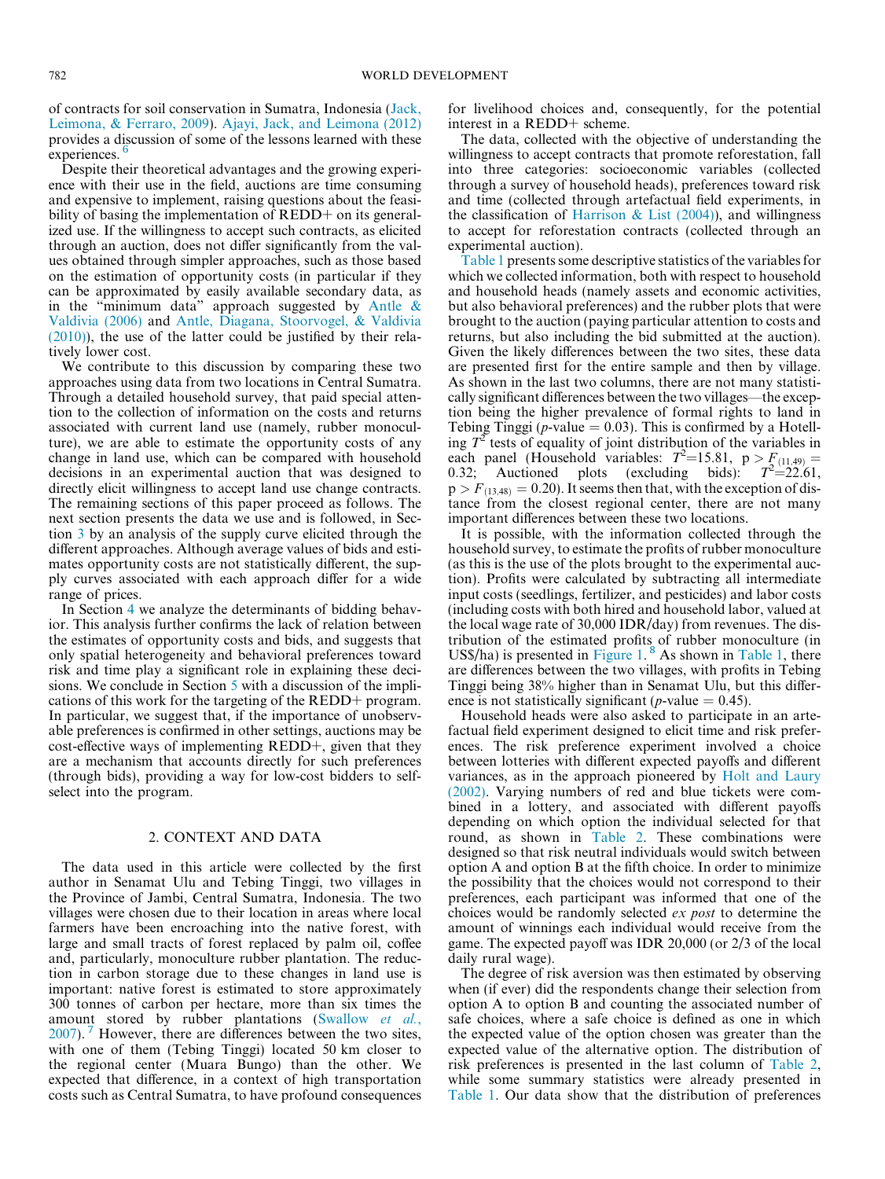of contracts for soil conservation in Sumatra, Indonesia ([Jack,](#page-8-0) [Leimona, & Ferraro, 2009\)](#page-8-0). [Ajayi, Jack, and Leimona \(2012\)](#page-8-0) provides a discussion of some of the lessons learned with these experiences.<sup>6</sup>

Despite their theoretical advantages and the growing experience with their use in the field, auctions are time consuming and expensive to implement, raising questions about the feasibility of basing the implementation of REDD+ on its generalized use. If the willingness to accept such contracts, as elicited through an auction, does not differ significantly from the values obtained through simpler approaches, such as those based on the estimation of opportunity costs (in particular if they can be approximated by easily available secondary data, as in the "minimum data" approach suggested by [Antle &](#page-8-0) [Valdivia \(2006\)](#page-8-0) and [Antle, Diagana, Stoorvogel, & Valdivia](#page-8-0) [\(2010\)\)](#page-8-0), the use of the latter could be justified by their relatively lower cost.

We contribute to this discussion by comparing these two approaches using data from two locations in Central Sumatra. Through a detailed household survey, that paid special attention to the collection of information on the costs and returns associated with current land use (namely, rubber monoculture), we are able to estimate the opportunity costs of any change in land use, which can be compared with household decisions in an experimental auction that was designed to directly elicit willingness to accept land use change contracts. The remaining sections of this paper proceed as follows. The next section presents the data we use and is followed, in Section 3 by an analysis of the supply curve elicited through the different approaches. Although average values of bids and estimates opportunity costs are not statistically different, the supply curves associated with each approach differ for a wide range of prices.

In Section 4 we analyze the determinants of bidding behavior. This analysis further confirms the lack of relation between the estimates of opportunity costs and bids, and suggests that only spatial heterogeneity and behavioral preferences toward risk and time play a significant role in explaining these decisions. We conclude in Section 5 with a discussion of the implications of this work for the targeting of the REDD+ program. In particular, we suggest that, if the importance of unobservable preferences is confirmed in other settings, auctions may be cost-effective ways of implementing REDD+, given that they are a mechanism that accounts directly for such preferences (through bids), providing a way for low-cost bidders to selfselect into the program.

## 2. CONTEXT AND DATA

The data used in this article were collected by the first author in Senamat Ulu and Tebing Tinggi, two villages in the Province of Jambi, Central Sumatra, Indonesia. The two villages were chosen due to their location in areas where local farmers have been encroaching into the native forest, with large and small tracts of forest replaced by palm oil, coffee and, particularly, monoculture rubber plantation. The reduction in carbon storage due to these changes in land use is important: native forest is estimated to store approximately 300 tonnes of carbon per hectare, more than six times the amount stored by rubber plantations [\(Swallow](#page-8-0) et al., [2007\)](#page-8-0). <sup>7</sup> However, there are differences between the two sites, with one of them (Tebing Tinggi) located 50 km closer to the regional center (Muara Bungo) than the other. We expected that difference, in a context of high transportation costs such as Central Sumatra, to have profound consequences for livelihood choices and, consequently, for the potential interest in a REDD+ scheme.

The data, collected with the objective of understanding the willingness to accept contracts that promote reforestation, fall into three categories: socioeconomic variables (collected through a survey of household heads), preferences toward risk and time (collected through artefactual field experiments, in the classification of Harrison  $\&$  List (2004)), and willingness to accept for reforestation contracts (collected through an experimental auction).

[Table 1](#page-2-0) presents some descriptive statistics of the variables for which we collected information, both with respect to household and household heads (namely assets and economic activities, but also behavioral preferences) and the rubber plots that were brought to the auction (paying particular attention to costs and returns, but also including the bid submitted at the auction). Given the likely differences between the two sites, these data are presented first for the entire sample and then by village. As shown in the last two columns, there are not many statistically significant differences between the two villages—the exception being the higher prevalence of formal rights to land in Tebing Tinggi ( $p$ -value = 0.03). This is confirmed by a Hotelling  $T^2$  tests of equality of joint distribution of the variables in each panel (Household variables:  $T^2 = 15.81$ ,  $p > F_{(11,49)} =$ 0.32; Auctioned plots (excluding bids):  $T^2 = 22.61$ ,  $p > F_{(13,48)} = 0.20$ . It seems then that, with the exception of distance from the closest regional center, there are not many important differences between these two locations.

It is possible, with the information collected through the household survey, to estimate the profits of rubber monoculture (as this is the use of the plots brought to the experimental auction). Profits were calculated by subtracting all intermediate input costs (seedlings, fertilizer, and pesticides) and labor costs (including costs with both hired and household labor, valued at the local wage rate of 30,000 IDR/day) from revenues. The distribution of the estimated profits of rubber monoculture (in US\$/ha) is presented in [Figure 1](#page-2-0).<sup>8</sup> As shown in [Table 1](#page-2-0), there are differences between the two villages, with profits in Tebing Tinggi being 38% higher than in Senamat Ulu, but this difference is not statistically significant ( $p$ -value = 0.45).

Household heads were also asked to participate in an artefactual field experiment designed to elicit time and risk preferences. The risk preference experiment involved a choice between lotteries with different expected payoffs and different variances, as in the approach pioneered by [Holt and Laury](#page-8-0) [\(2002\).](#page-8-0) Varying numbers of red and blue tickets were combined in a lottery, and associated with different payoffs depending on which option the individual selected for that round, as shown in [Table 2.](#page-3-0) These combinations were designed so that risk neutral individuals would switch between option A and option B at the fifth choice. In order to minimize the possibility that the choices would not correspond to their preferences, each participant was informed that one of the choices would be randomly selected ex post to determine the amount of winnings each individual would receive from the game. The expected payoff was IDR 20,000 (or 2/3 of the local daily rural wage).

The degree of risk aversion was then estimated by observing when (if ever) did the respondents change their selection from option A to option B and counting the associated number of safe choices, where a safe choice is defined as one in which the expected value of the option chosen was greater than the expected value of the alternative option. The distribution of risk preferences is presented in the last column of [Table 2](#page-3-0), while some summary statistics were already presented in [Table 1](#page-2-0). Our data show that the distribution of preferences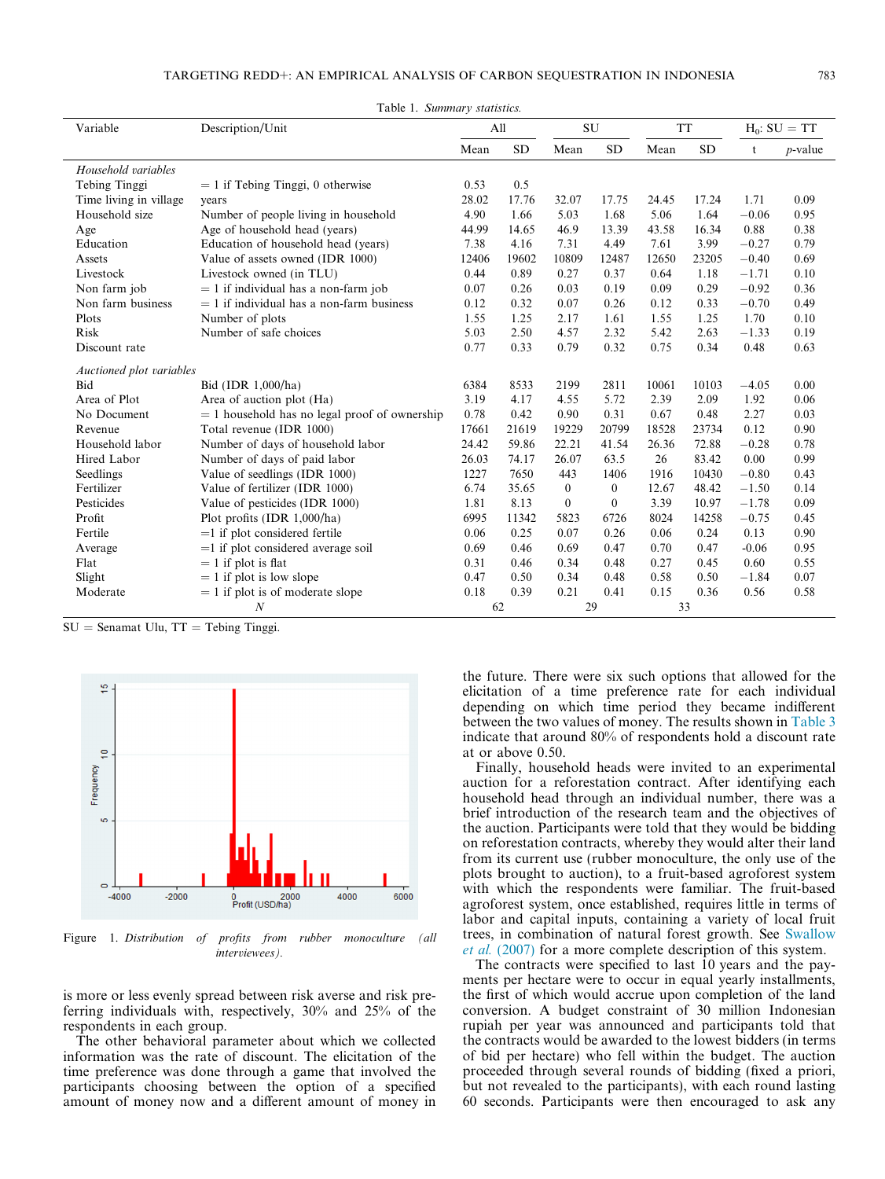<span id="page-2-0"></span>

| Variable                 | Description/Unit                                | All   |           | <b>SU</b>    |                | <b>TT</b> |           | $H_0$ : SU = TT |            |
|--------------------------|-------------------------------------------------|-------|-----------|--------------|----------------|-----------|-----------|-----------------|------------|
|                          |                                                 | Mean  | <b>SD</b> | Mean         | <b>SD</b>      | Mean      | <b>SD</b> | t               | $p$ -value |
| Household variables      |                                                 |       |           |              |                |           |           |                 |            |
| Tebing Tinggi            | $= 1$ if Tebing Tinggi, 0 otherwise             | 0.53  | 0.5       |              |                |           |           |                 |            |
| Time living in village   | years                                           | 28.02 | 17.76     | 32.07        | 17.75          | 24.45     | 17.24     | 1.71            | 0.09       |
| Household size           | Number of people living in household            | 4.90  | 1.66      | 5.03         | 1.68           | 5.06      | 1.64      | $-0.06$         | 0.95       |
| Age                      | Age of household head (years)                   | 44.99 | 14.65     | 46.9         | 13.39          | 43.58     | 16.34     | 0.88            | 0.38       |
| Education                | Education of household head (years)             | 7.38  | 4.16      | 7.31         | 4.49           | 7.61      | 3.99      | $-0.27$         | 0.79       |
| Assets                   | Value of assets owned (IDR 1000)                |       | 19602     | 10809        | 12487          | 12650     | 23205     | $-0.40$         | 0.69       |
| Livestock                | Livestock owned (in TLU)                        | 0.44  | 0.89      | 0.27         | 0.37           | 0.64      | 1.18      | $-1.71$         | 0.10       |
| Non farm job             | $= 1$ if individual has a non-farm job          | 0.07  | 0.26      | 0.03         | 0.19           | 0.09      | 0.29      | $-0.92$         | 0.36       |
| Non farm business        | $= 1$ if individual has a non-farm business     |       | 0.32      | 0.07         | 0.26           | 0.12      | 0.33      | $-0.70$         | 0.49       |
| Plots                    | Number of plots                                 |       | 1.25      | 2.17         | 1.61           | 1.55      | 1.25      | 1.70            | 0.10       |
| Risk                     | Number of safe choices                          | 5.03  | 2.50      | 4.57         | 2.32           | 5.42      | 2.63      | $-1.33$         | 0.19       |
| Discount rate            |                                                 | 0.77  | 0.33      | 0.79         | 0.32           | 0.75      | 0.34      | 0.48            | 0.63       |
| Auctioned plot variables |                                                 |       |           |              |                |           |           |                 |            |
| <b>Bid</b>               | Bid (IDR 1,000/ha)                              | 6384  | 8533      | 2199         | 2811           | 10061     | 10103     | $-4.05$         | 0.00       |
| Area of Plot             | Area of auction plot (Ha)                       | 3.19  | 4.17      | 4.55         | 5.72           | 2.39      | 2.09      | 1.92            | 0.06       |
| No Document              | $= 1$ household has no legal proof of ownership | 0.78  | 0.42      | 0.90         | 0.31           | 0.67      | 0.48      | 2.27            | 0.03       |
| Revenue                  | Total revenue (IDR 1000)                        |       | 21619     | 19229        | 20799          | 18528     | 23734     | 0.12            | 0.90       |
| Household labor          | Number of days of household labor               | 24.42 | 59.86     | 22.21        | 41.54          | 26.36     | 72.88     | $-0.28$         | 0.78       |
| Hired Labor              | Number of days of paid labor                    | 26.03 | 74.17     | 26.07        | 63.5           | 26        | 83.42     | 0.00            | 0.99       |
| Seedlings                | Value of seedlings (IDR 1000)                   | 1227  | 7650      | 443          | 1406           | 1916      | 10430     | $-0.80$         | 0.43       |
| Fertilizer               | Value of fertilizer (IDR 1000)                  | 6.74  | 35.65     | $\mathbf{0}$ | $\overline{0}$ | 12.67     | 48.42     | $-1.50$         | 0.14       |
| Pesticides               | Value of pesticides (IDR 1000)                  | 1.81  | 8.13      | $\mathbf{0}$ | $\mathbf{0}$   | 3.39      | 10.97     | $-1.78$         | 0.09       |
| Profit                   | Plot profits (IDR 1,000/ha)                     | 6995  | 11342     | 5823         | 6726           | 8024      | 14258     | $-0.75$         | 0.45       |
| Fertile                  | $=1$ if plot considered fertile                 | 0.06  | 0.25      | 0.07         | 0.26           | 0.06      | 0.24      | 0.13            | 0.90       |
| Average                  | $=$ 1 if plot considered average soil           | 0.69  | 0.46      | 0.69         | 0.47           | 0.70      | 0.47      | $-0.06$         | 0.95       |
| Flat                     | $= 1$ if plot is flat                           | 0.31  | 0.46      | 0.34         | 0.48           | 0.27      | 0.45      | 0.60            | 0.55       |
| Slight                   | $= 1$ if plot is low slope                      | 0.47  | 0.50      | 0.34         | 0.48           | 0.58      | 0.50      | $-1.84$         | 0.07       |
| Moderate                 | $= 1$ if plot is of moderate slope              | 0.18  | 0.39      | 0.21         | 0.41           | 0.15      | 0.36      | 0.56            | 0.58       |
|                          | $\boldsymbol{N}$                                | 62    |           | 29           |                | 33        |           |                 |            |

Table 1. Summary statistics.

 $SU =$  Senamat Ulu,  $TT =$  Tebing Tinggi.



Figure 1. Distribution of profits from rubber monoculture (all interviewees).

is more or less evenly spread between risk averse and risk preferring individuals with, respectively, 30% and 25% of the respondents in each group.

The other behavioral parameter about which we collected information was the rate of discount. The elicitation of the time preference was done through a game that involved the participants choosing between the option of a specified amount of money now and a different amount of money in the future. There were six such options that allowed for the elicitation of a time preference rate for each individual depending on which time period they became indifferent between the two values of money. The results shown in [Table 3](#page-3-0) indicate that around 80% of respondents hold a discount rate at or above 0.50.

Finally, household heads were invited to an experimental auction for a reforestation contract. After identifying each household head through an individual number, there was a brief introduction of the research team and the objectives of the auction. Participants were told that they would be bidding on reforestation contracts, whereby they would alter their land from its current use (rubber monoculture, the only use of the plots brought to auction), to a fruit-based agroforest system with which the respondents were familiar. The fruit-based agroforest system, once established, requires little in terms of labor and capital inputs, containing a variety of local fruit trees, in combination of natural forest growth. See [Swallow](#page-8-0) et al. [\(2007\)](#page-8-0) for a more complete description of this system.

The contracts were specified to last 10 years and the payments per hectare were to occur in equal yearly installments, the first of which would accrue upon completion of the land conversion. A budget constraint of 30 million Indonesian rupiah per year was announced and participants told that the contracts would be awarded to the lowest bidders (in terms of bid per hectare) who fell within the budget. The auction proceeded through several rounds of bidding (fixed a priori, but not revealed to the participants), with each round lasting 60 seconds. Participants were then encouraged to ask any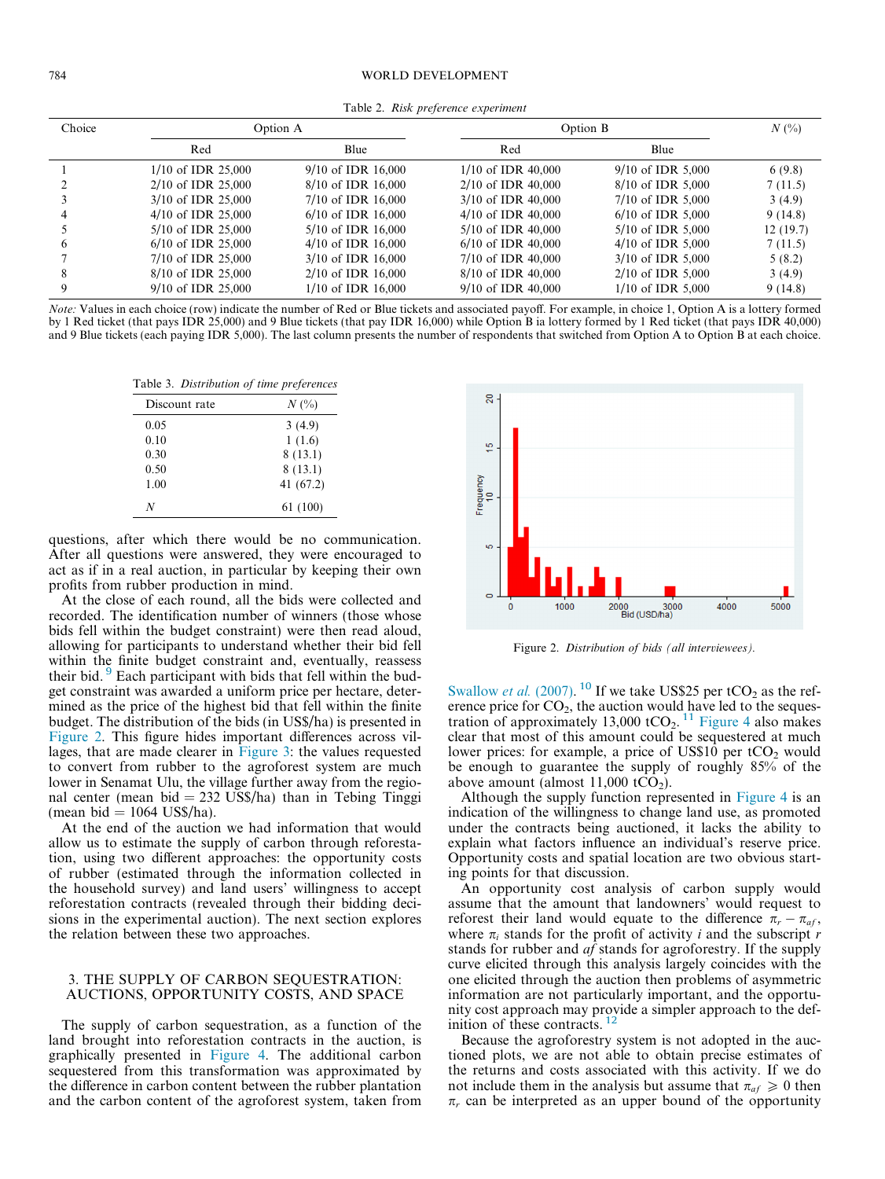### <span id="page-3-0"></span>784 WORLD DEVELOPMENT

Table 2. Risk preference experiment

| Choice |                        | Option A               | Option B               | $N(\%)$               |          |
|--------|------------------------|------------------------|------------------------|-----------------------|----------|
|        | Red                    | Blue                   | Red                    | Blue                  |          |
|        | $1/10$ of IDR 25,000   | $9/10$ of IDR 16,000   | $1/10$ of IDR $40.000$ | $9/10$ of IDR 5,000   | 6(9.8)   |
|        | $2/10$ of IDR $25,000$ | 8/10 of IDR 16,000     | $2/10$ of IDR 40,000   | $8/10$ of IDR 5.000   | 7(11.5)  |
|        | $3/10$ of IDR 25,000   | $7/10$ of IDR $16,000$ | $3/10$ of IDR 40,000   | $7/10$ of IDR $5,000$ | 3(4.9)   |
|        | $4/10$ of IDR 25,000   | $6/10$ of IDR $16,000$ | $4/10$ of IDR $40,000$ | $6/10$ of IDR 5.000   | 9(14.8)  |
|        | $5/10$ of IDR 25,000   | $5/10$ of IDR $16,000$ | $5/10$ of IDR $40,000$ | $5/10$ of IDR $5,000$ | 12(19.7) |
| 6      | $6/10$ of IDR 25,000   | $4/10$ of IDR $16,000$ | $6/10$ of IDR 40,000   | $4/10$ of IDR 5,000   | 7(11.5)  |
|        | $7/10$ of IDR 25,000   | 3/10 of IDR 16,000     | $7/10$ of IDR 40,000   | $3/10$ of IDR 5.000   | 5(8.2)   |
| 8      | $8/10$ of IDR 25,000   | $2/10$ of IDR $16,000$ | $8/10$ of IDR $40,000$ | $2/10$ of IDR 5,000   | 3(4.9)   |
|        | $9/10$ of IDR 25,000   | 1/10 of IDR 16,000     | 9/10 of IDR 40,000     | $1/10$ of IDR 5.000   | 9(14.8)  |

Note: Values in each choice (row) indicate the number of Red or Blue tickets and associated payoff. For example, in choice 1, Option A is a lottery formed by 1 Red ticket (that pays IDR 25,000) and 9 Blue tickets (that pay IDR 16,000) while Option B ia lottery formed by 1 Red ticket (that pays IDR 40,000) and 9 Blue tickets (each paying IDR 5,000). The last column presents the number of respondents that switched from Option A to Option B at each choice.

Table 3. Distribution of time preferences

| Discount rate | $N(\%)$   |
|---------------|-----------|
| 0.05          | 3(4.9)    |
| 0.10          | 1(1.6)    |
| 0.30          | 8(13.1)   |
| 0.50          | 8(13.1)   |
| 1.00          | 41 (67.2) |
|               | 61 (100)  |

questions, after which there would be no communication. After all questions were answered, they were encouraged to act as if in a real auction, in particular by keeping their own profits from rubber production in mind.

At the close of each round, all the bids were collected and recorded. The identification number of winners (those whose bids fell within the budget constraint) were then read aloud, allowing for participants to understand whether their bid fell within the finite budget constraint and, eventually, reassess their bid. <sup>9</sup> Each participant with bids that fell within the budget constraint was awarded a uniform price per hectare, determined as the price of the highest bid that fell within the finite budget. The distribution of the bids (in US\$/ha) is presented in Figure 2. This figure hides important differences across villages, that are made clearer in [Figure 3](#page-4-0): the values requested to convert from rubber to the agroforest system are much lower in Senamat Ulu, the village further away from the regional center (mean bid  $= 232$  US\$/ha) than in Tebing Tinggi (mean bid  $= 1064$  US\$/ha).

At the end of the auction we had information that would allow us to estimate the supply of carbon through reforestation, using two different approaches: the opportunity costs of rubber (estimated through the information collected in the household survey) and land users' willingness to accept reforestation contracts (revealed through their bidding decisions in the experimental auction). The next section explores the relation between these two approaches.

# 3. THE SUPPLY OF CARBON SEQUESTRATION: AUCTIONS, OPPORTUNITY COSTS, AND SPACE

The supply of carbon sequestration, as a function of the land brought into reforestation contracts in the auction, is graphically presented in [Figure 4.](#page-4-0) The additional carbon sequestered from this transformation was approximated by the difference in carbon content between the rubber plantation and the carbon content of the agroforest system, taken from



Figure 2. Distribution of bids (all interviewees).

[Swallow](#page-8-0) et al. (2007). <sup>10</sup> If we take US\$25 per tCO<sub>2</sub> as the reference price for  $CO<sub>2</sub>$ , the auction would have led to the seques-tration of approximately 13,000 tCO<sub>2</sub>.<sup>11</sup> [Figure 4](#page-4-0) also makes clear that most of this amount could be sequestered at much lower prices: for example, a price of US\$10 per  $tCO<sub>2</sub>$  would be enough to guarantee the supply of roughly 85% of the above amount (almost  $11,000$  t $\overline{CO_2}$ ).

Although the supply function represented in [Figure 4](#page-4-0) is an indication of the willingness to change land use, as promoted under the contracts being auctioned, it lacks the ability to explain what factors influence an individual's reserve price. Opportunity costs and spatial location are two obvious starting points for that discussion.

An opportunity cost analysis of carbon supply would assume that the amount that landowners' would request to reforest their land would equate to the difference  $\pi_r - \pi_{af}$ , where  $\pi_i$  stands for the profit of activity i and the subscript r stands for rubber and *af* stands for agroforestry. If the supply curve elicited through this analysis largely coincides with the one elicited through the auction then problems of asymmetric information are not particularly important, and the opportunity cost approach may provide a simpler approach to the definition of these contracts.<sup>12</sup>

Because the agroforestry system is not adopted in the auctioned plots, we are not able to obtain precise estimates of the returns and costs associated with this activity. If we do not include them in the analysis but assume that  $\pi_{af} \geq 0$  then  $\pi_r$  can be interpreted as an upper bound of the opportunity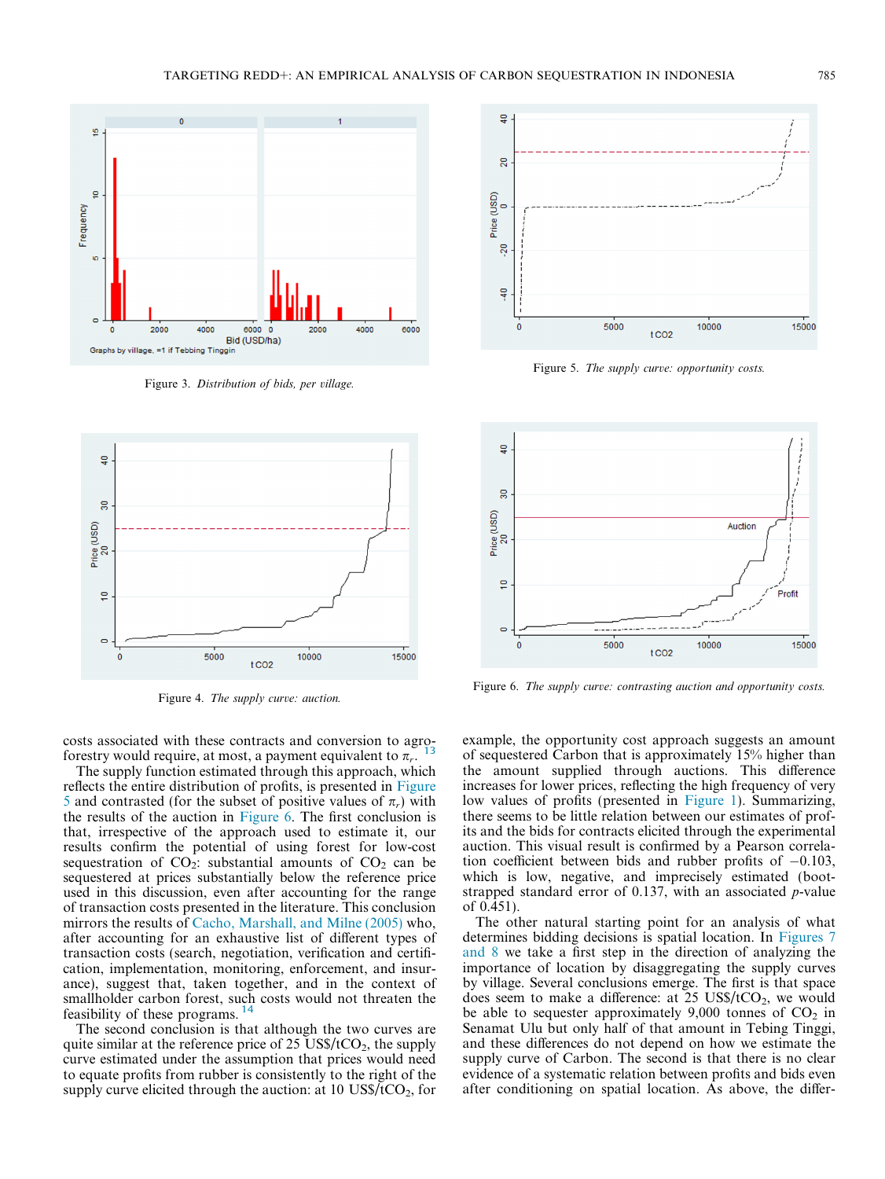<span id="page-4-0"></span>

Figure 3. Distribution of bids, per village.



Figure 4. The supply curve: auction.

costs associated with these contracts and conversion to agroforestry would require, at most, a payment equivalent to  $\pi_r$ .

The supply function estimated through this approach, which reflects the entire distribution of profits, is presented in Figure 5 and contrasted (for the subset of positive values of  $\pi_r$ ) with the results of the auction in Figure 6. The first conclusion is that, irrespective of the approach used to estimate it, our results confirm the potential of using forest for low-cost sequestration of  $CO<sub>2</sub>$ : substantial amounts of  $CO<sub>2</sub>$  can be sequestered at prices substantially below the reference price used in this discussion, even after accounting for the range of transaction costs presented in the literature. This conclusion mirrors the results of [Cacho, Marshall, and Milne \(2005\)](#page-8-0) who, after accounting for an exhaustive list of different types of transaction costs (search, negotiation, verification and certification, implementation, monitoring, enforcement, and insurance), suggest that, taken together, and in the context of smallholder carbon forest, such costs would not threaten the feasibility of these programs.<sup>14</sup>

The second conclusion is that although the two curves are quite similar at the reference price of 25 US\$/ $tCO<sub>2</sub>$ , the supply curve estimated under the assumption that prices would need to equate profits from rubber is consistently to the right of the supply curve elicited through the auction: at 10 US\$/ $tCO_2$ , for



Figure 5. The supply curve: opportunity costs.



Figure 6. The supply curve: contrasting auction and opportunity costs.

example, the opportunity cost approach suggests an amount of sequestered Carbon that is approximately 15% higher than the amount supplied through auctions. This difference increases for lower prices, reflecting the high frequency of very low values of profits (presented in [Figure 1](#page-2-0)). Summarizing, there seems to be little relation between our estimates of profits and the bids for contracts elicited through the experimental auction. This visual result is confirmed by a Pearson correlation coefficient between bids and rubber profits of  $-0.103$ , which is low, negative, and imprecisely estimated (bootstrapped standard error of 0.137, with an associated p-value of 0.451).

The other natural starting point for an analysis of what determines bidding decisions is spatial location. In [Figures 7](#page-5-0) [and 8](#page-5-0) we take a first step in the direction of analyzing the importance of location by disaggregating the supply curves by village. Several conclusions emerge. The first is that space does seem to make a difference: at  $25 \text{ US}$ \$/tCO<sub>2</sub>, we would be able to sequester approximately  $9,000$  tonnes of  $CO<sub>2</sub>$  in Senamat Ulu but only half of that amount in Tebing Tinggi, and these differences do not depend on how we estimate the supply curve of Carbon. The second is that there is no clear evidence of a systematic relation between profits and bids even after conditioning on spatial location. As above, the differ-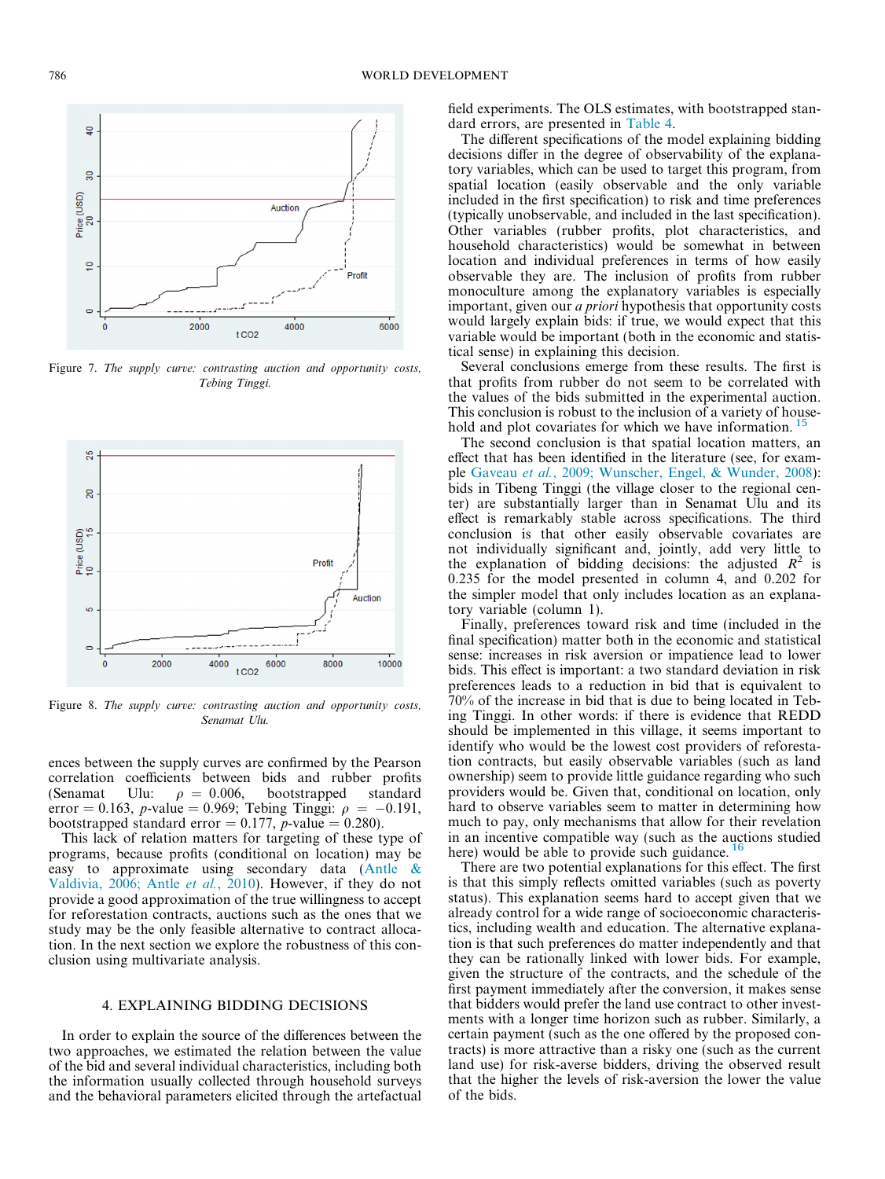<span id="page-5-0"></span>

Figure 7. The supply curve: contrasting auction and opportunity costs, Tebing Tinggi.



Figure 8. The supply curve: contrasting auction and opportunity costs, Senamat Ulu.

ences between the supply curves are confirmed by the Pearson correlation coefficients between bids and rubber profits (Senamat Ulu:  $\rho = 0.006$ , bootstrapped standard error = 0.163, *p*-value = 0.969; Tebing Tinggi:  $\rho = -0.191$ , bootstrapped standard error  $= 0.177$ , p-value  $= 0.280$ ).

This lack of relation matters for targeting of these type of programs, because profits (conditional on location) may be easy to approximate using secondary data [\(Antle &](#page-8-0) [Valdivia, 2006; Antle](#page-8-0) et al., 2010). However, if they do not provide a good approximation of the true willingness to accept for reforestation contracts, auctions such as the ones that we study may be the only feasible alternative to contract allocation. In the next section we explore the robustness of this conclusion using multivariate analysis.

### 4. EXPLAINING BIDDING DECISIONS

In order to explain the source of the differences between the two approaches, we estimated the relation between the value of the bid and several individual characteristics, including both the information usually collected through household surveys and the behavioral parameters elicited through the artefactual field experiments. The OLS estimates, with bootstrapped standard errors, are presented in [Table 4](#page-6-0).

The different specifications of the model explaining bidding decisions differ in the degree of observability of the explanatory variables, which can be used to target this program, from spatial location (easily observable and the only variable included in the first specification) to risk and time preferences (typically unobservable, and included in the last specification). Other variables (rubber profits, plot characteristics, and household characteristics) would be somewhat in between location and individual preferences in terms of how easily observable they are. The inclusion of profits from rubber monoculture among the explanatory variables is especially important, given our a priori hypothesis that opportunity costs would largely explain bids: if true, we would expect that this variable would be important (both in the economic and statistical sense) in explaining this decision.

Several conclusions emerge from these results. The first is that profits from rubber do not seem to be correlated with the values of the bids submitted in the experimental auction. This conclusion is robust to the inclusion of a variety of household and plot covariates for which we have information.

The second conclusion is that spatial location matters, an effect that has been identified in the literature (see, for example Gaveau et al.[, 2009; Wunscher, Engel, & Wunder, 2008](#page-8-0)): bids in Tibeng Tinggi (the village closer to the regional center) are substantially larger than in Senamat Ulu and its effect is remarkably stable across specifications. The third conclusion is that other easily observable covariates are not individually significant and, jointly, add very little to the explanation of bidding decisions: the adjusted  $R^2$  is 0.235 for the model presented in column 4, and 0.202 for the simpler model that only includes location as an explanatory variable (column 1).

Finally, preferences toward risk and time (included in the final specification) matter both in the economic and statistical sense: increases in risk aversion or impatience lead to lower bids. This effect is important: a two standard deviation in risk preferences leads to a reduction in bid that is equivalent to 70% of the increase in bid that is due to being located in Tebing Tinggi. In other words: if there is evidence that REDD should be implemented in this village, it seems important to identify who would be the lowest cost providers of reforestation contracts, but easily observable variables (such as land ownership) seem to provide little guidance regarding who such providers would be. Given that, conditional on location, only hard to observe variables seem to matter in determining how much to pay, only mechanisms that allow for their revelation in an incentive compatible way (such as the auctions studied here) would be able to provide such guidance.  $^{16}$ 

There are two potential explanations for this effect. The first is that this simply reflects omitted variables (such as poverty status). This explanation seems hard to accept given that we already control for a wide range of socioeconomic characteristics, including wealth and education. The alternative explanation is that such preferences do matter independently and that they can be rationally linked with lower bids. For example, given the structure of the contracts, and the schedule of the first payment immediately after the conversion, it makes sense that bidders would prefer the land use contract to other investments with a longer time horizon such as rubber. Similarly, a certain payment (such as the one offered by the proposed contracts) is more attractive than a risky one (such as the current land use) for risk-averse bidders, driving the observed result that the higher the levels of risk-aversion the lower the value of the bids.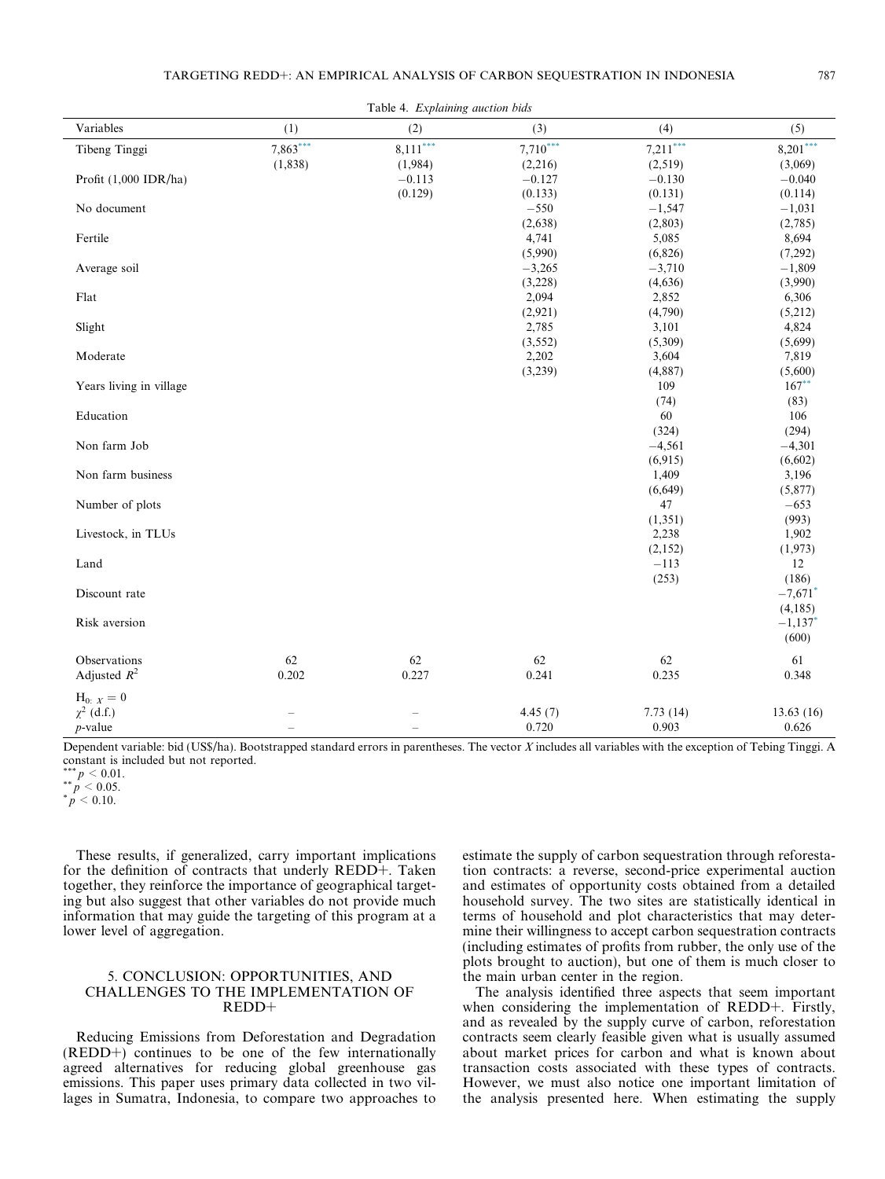<span id="page-6-0"></span>

|                         |            | $\overline{ }$ |            |            |                       |
|-------------------------|------------|----------------|------------|------------|-----------------------|
| Variables               | (1)        | (2)            | (3)        | (4)        | (5)                   |
| Tibeng Tinggi           | $7,863***$ | $8,111***$     | $7,710***$ | $7,211***$ | $8,201***$            |
|                         | (1, 838)   | (1,984)        | (2,216)    | (2, 519)   | (3,069)               |
| Profit $(1,000$ IDR/ha) |            | $-0.113$       | $-0.127$   | $-0.130$   | $-0.040$              |
|                         |            | (0.129)        | (0.133)    | (0.131)    | (0.114)               |
| No document             |            |                | $-550$     | $-1,547$   | $-1,031$              |
|                         |            |                | (2,638)    | (2,803)    | (2,785)               |
| Fertile                 |            |                | 4,741      | 5,085      | 8,694                 |
|                         |            |                | (5,990)    | (6,826)    | (7,292)               |
| Average soil            |            |                | $-3,265$   | $-3,710$   | $-1,809$              |
|                         |            |                | (3,228)    | (4,636)    | (3,990)               |
| Flat                    |            |                | 2,094      | 2,852      | 6,306                 |
|                         |            |                | (2,921)    | (4,790)    | (5,212)               |
| Slight                  |            |                | 2,785      | 3,101      | 4,824                 |
|                         |            |                | (3, 552)   | (5,309)    | (5,699)               |
| Moderate                |            |                | 2,202      | 3,604      | 7,819                 |
|                         |            |                | (3,239)    | (4,887)    | (5,600)               |
| Years living in village |            |                |            | 109        | $167***$              |
|                         |            |                |            | (74)       | (83)                  |
| Education               |            |                |            | 60         | 106                   |
|                         |            |                |            | (324)      | (294)                 |
| Non farm Job            |            |                |            | $-4,561$   | $-4,301$              |
|                         |            |                |            | (6,915)    | (6,602)               |
| Non farm business       |            |                |            | 1,409      | 3,196                 |
|                         |            |                |            | (6, 649)   | (5, 877)              |
| Number of plots         |            |                |            | 47         | $-653$                |
|                         |            |                |            | (1, 351)   | (993)                 |
| Livestock, in TLUs      |            |                |            | 2,238      | 1,902                 |
|                         |            |                |            | (2, 152)   | (1,973)               |
| Land                    |            |                |            | $-113$     | 12                    |
|                         |            |                |            | (253)      | (186)                 |
| Discount rate           |            |                |            |            | $-7,671$ *            |
|                         |            |                |            |            | (4,185)               |
| Risk aversion           |            |                |            |            | $-1,137$ <sup>*</sup> |
|                         |            |                |            |            | (600)                 |
|                         |            |                |            |            |                       |
| Observations            | 62         | 62             | 62         | 62         | 61                    |
| Adjusted $R^2$          | 0.202      | 0.227          | 0.241      | 0.235      | 0.348                 |
| $H_{0: X} = 0$          |            |                |            |            |                       |
| $\chi^2$ (d.f.)         |            |                | 4.45(7)    | 7.73(14)   | 13.63(16)             |
| $p$ -value              | L.         |                | 0.720      | 0.903      | 0.626                 |
|                         |            |                |            |            |                       |

Table 4. Explaining auction bids

Dependent variable: bid (US\$/ha). Bootstrapped standard errors in parentheses. The vector  $X$  includes all variables with the exception of Tebing Tinggi. A constant is included but not reported.

\*\*\* p < 0.01.<br>
\*\* p < 0.05.<br>
\* p < 0.10.

These results, if generalized, carry important implications for the definition of contracts that underly REDD+. Taken together, they reinforce the importance of geographical targeting but also suggest that other variables do not provide much information that may guide the targeting of this program at a lower level of aggregation.

# 5. CONCLUSION: OPPORTUNITIES, AND CHALLENGES TO THE IMPLEMENTATION OF REDD+

Reducing Emissions from Deforestation and Degradation (REDD+) continues to be one of the few internationally agreed alternatives for reducing global greenhouse gas emissions. This paper uses primary data collected in two villages in Sumatra, Indonesia, to compare two approaches to estimate the supply of carbon sequestration through reforestation contracts: a reverse, second-price experimental auction and estimates of opportunity costs obtained from a detailed household survey. The two sites are statistically identical in terms of household and plot characteristics that may determine their willingness to accept carbon sequestration contracts (including estimates of profits from rubber, the only use of the plots brought to auction), but one of them is much closer to the main urban center in the region.

The analysis identified three aspects that seem important when considering the implementation of REDD+. Firstly, and as revealed by the supply curve of carbon, reforestation contracts seem clearly feasible given what is usually assumed about market prices for carbon and what is known about transaction costs associated with these types of contracts. However, we must also notice one important limitation of the analysis presented here. When estimating the supply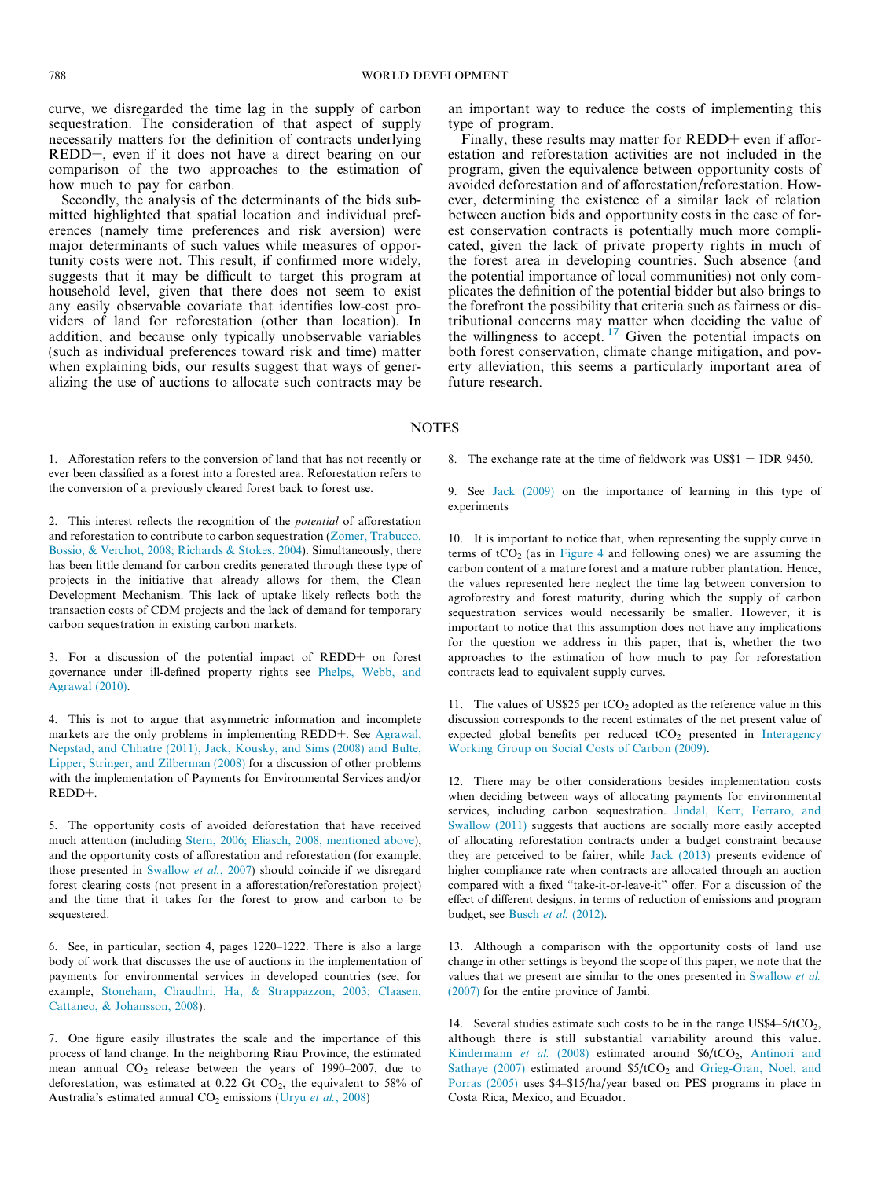curve, we disregarded the time lag in the supply of carbon sequestration. The consideration of that aspect of supply necessarily matters for the definition of contracts underlying REDD+, even if it does not have a direct bearing on our comparison of the two approaches to the estimation of how much to pay for carbon.

Secondly, the analysis of the determinants of the bids submitted highlighted that spatial location and individual preferences (namely time preferences and risk aversion) were major determinants of such values while measures of opportunity costs were not. This result, if confirmed more widely, suggests that it may be difficult to target this program at household level, given that there does not seem to exist any easily observable covariate that identifies low-cost providers of land for reforestation (other than location). In addition, and because only typically unobservable variables (such as individual preferences toward risk and time) matter when explaining bids, our results suggest that ways of generalizing the use of auctions to allocate such contracts may be an important way to reduce the costs of implementing this type of program.

Finally, these results may matter for REDD+ even if afforestation and reforestation activities are not included in the program, given the equivalence between opportunity costs of avoided deforestation and of afforestation/reforestation. However, determining the existence of a similar lack of relation between auction bids and opportunity costs in the case of forest conservation contracts is potentially much more complicated, given the lack of private property rights in much of the forest area in developing countries. Such absence (and the potential importance of local communities) not only complicates the definition of the potential bidder but also brings to the forefront the possibility that criteria such as fairness or distributional concerns may matter when deciding the value of the willingness to accept.<sup>17</sup> Given the potential impacts on both forest conservation, climate change mitigation, and poverty alleviation, this seems a particularly important area of future research.

# **NOTES**

1. Afforestation refers to the conversion of land that has not recently or ever been classified as a forest into a forested area. Reforestation refers to the conversion of a previously cleared forest back to forest use.

2. This interest reflects the recognition of the potential of afforestation and reforestation to contribute to carbon sequestration [\(Zomer, Trabucco,](#page-9-0) [Bossio, & Verchot, 2008; Richards & Stokes, 2004](#page-9-0)). Simultaneously, there has been little demand for carbon credits generated through these type of projects in the initiative that already allows for them, the Clean Development Mechanism. This lack of uptake likely reflects both the transaction costs of CDM projects and the lack of demand for temporary carbon sequestration in existing carbon markets.

3. For a discussion of the potential impact of REDD+ on forest governance under ill-defined property rights see [Phelps, Webb, and](#page-8-0) [Agrawal \(2010\).](#page-8-0)

4. This is not to argue that asymmetric information and incomplete markets are the only problems in implementing REDD+. See [Agrawal,](#page-8-0) [Nepstad, and Chhatre \(2011\), Jack, Kousky, and Sims \(2008\) and Bulte,](#page-8-0) [Lipper, Stringer, and Zilberman \(2008\)](#page-8-0) for a discussion of other problems with the implementation of Payments for Environmental Services and/or REDD+.

5. The opportunity costs of avoided deforestation that have received much attention (including [Stern, 2006; Eliasch, 2008, mentioned above\)](#page-8-0), and the opportunity costs of afforestation and reforestation (for example, those presented in [Swallow](#page-8-0) et al., 2007) should coincide if we disregard forest clearing costs (not present in a afforestation/reforestation project) and the time that it takes for the forest to grow and carbon to be sequestered.

6. See, in particular, section 4, pages 1220–1222. There is also a large body of work that discusses the use of auctions in the implementation of payments for environmental services in developed countries (see, for example, [Stoneham, Chaudhri, Ha, & Strappazzon, 2003; Claasen,](#page-8-0) [Cattaneo, & Johansson, 2008\)](#page-8-0).

7. One figure easily illustrates the scale and the importance of this process of land change. In the neighboring Riau Province, the estimated mean annual  $CO<sub>2</sub>$  release between the years of 1990–2007, due to deforestation, was estimated at 0.22 Gt  $CO<sub>2</sub>$ , the equivalent to 58% of Australia's estimated annual  $CO<sub>2</sub>$  emissions (Uryu et al.[, 2008\)](#page-8-0)

8. The exchange rate at the time of fieldwork was US\$1 = IDR 9450.

9. See [Jack \(2009\)](#page-8-0) on the importance of learning in this type of experiments

10. It is important to notice that, when representing the supply curve in terms of  $tCO<sub>2</sub>$  (as in [Figure 4](#page-4-0) and following ones) we are assuming the carbon content of a mature forest and a mature rubber plantation. Hence, the values represented here neglect the time lag between conversion to agroforestry and forest maturity, during which the supply of carbon sequestration services would necessarily be smaller. However, it is important to notice that this assumption does not have any implications for the question we address in this paper, that is, whether the two approaches to the estimation of how much to pay for reforestation contracts lead to equivalent supply curves.

11. The values of US\$25 per  $tCO<sub>2</sub>$  adopted as the reference value in this discussion corresponds to the recent estimates of the net present value of expected global benefits per reduced  $tCO<sub>2</sub>$  presented in [Interagency](#page-8-0) [Working Group on Social Costs of Carbon \(2009\).](#page-8-0)

12. There may be other considerations besides implementation costs when deciding between ways of allocating payments for environmental services, including carbon sequestration. [Jindal, Kerr, Ferraro, and](#page-8-0) [Swallow \(2011\)](#page-8-0) suggests that auctions are socially more easily accepted of allocating reforestation contracts under a budget constraint because they are perceived to be fairer, while [Jack \(2013\)](#page-8-0) presents evidence of higher compliance rate when contracts are allocated through an auction compared with a fixed "take-it-or-leave-it" offer. For a discussion of the effect of different designs, in terms of reduction of emissions and program budget, see Busch et al. [\(2012\).](#page-8-0)

13. Although a comparison with the opportunity costs of land use change in other settings is beyond the scope of this paper, we note that the values that we present are similar to the ones presented in [Swallow](#page-8-0) et al. [\(2007\)](#page-8-0) for the entire province of Jambi.

14. Several studies estimate such costs to be in the range  $\text{US}\$4-5/\text{tCO}_2$ , although there is still substantial variability around this value. [Kindermann](#page-8-0) et al. (2008) estimated around  $$6/tCO<sub>2</sub>$ , [Antinori and](#page-8-0) [Sathaye \(2007\)](#page-8-0) estimated around  $$5/tCO<sub>2</sub>$  and [Grieg-Gran, Noel, and](#page-8-0) [Porras \(2005\)](#page-8-0) uses \$4–\$15/ha/year based on PES programs in place in Costa Rica, Mexico, and Ecuador.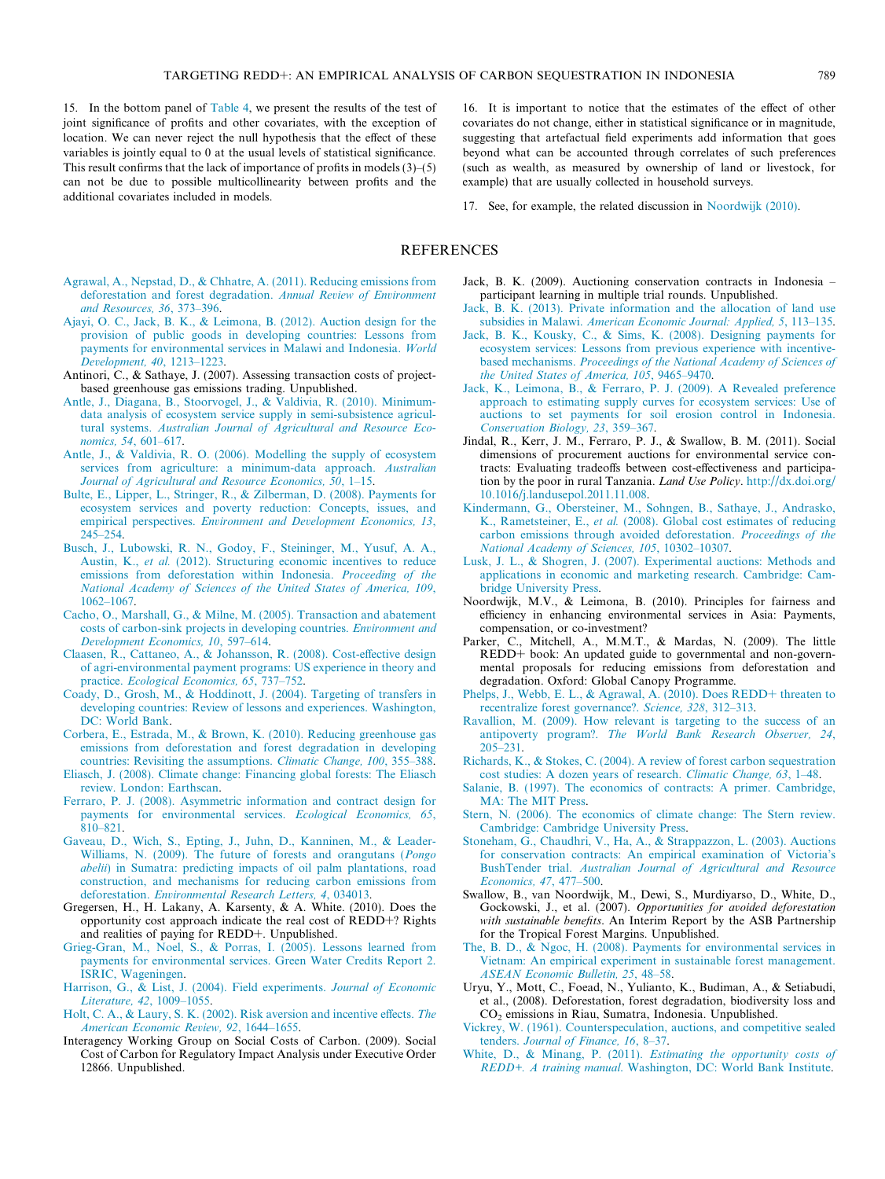<span id="page-8-0"></span>15. In the bottom panel of [Table 4,](#page-6-0) we present the results of the test of joint significance of profits and other covariates, with the exception of location. We can never reject the null hypothesis that the effect of these variables is jointly equal to 0 at the usual levels of statistical significance. This result confirms that the lack of importance of profits in models  $(3)$ – $(5)$ can not be due to possible multicollinearity between profits and the additional covariates included in models.

16. It is important to notice that the estimates of the effect of other covariates do not change, either in statistical significance or in magnitude, suggesting that artefactual field experiments add information that goes beyond what can be accounted through correlates of such preferences (such as wealth, as measured by ownership of land or livestock, for example) that are usually collected in household surveys.

17. See, for example, the related discussion in Noordwijk (2010).

# REFERENCES

- [Agrawal, A., Nepstad, D., & Chhatre, A. \(2011\). Reducing emissions from](http://refhub.elsevier.com/S0305-750X(14)00215-0/h0005) [deforestation and forest degradation.](http://refhub.elsevier.com/S0305-750X(14)00215-0/h0005) Annual Review of Environment [and Resources, 36](http://refhub.elsevier.com/S0305-750X(14)00215-0/h0005)[, 373–396](http://refhub.elsevier.com/S0305-750X(14)00215-0/h0005).
- [Ajayi, O. C., Jack, B. K., & Leimona, B. \(2012\). Auction design for the](http://refhub.elsevier.com/S0305-750X(14)00215-0/h0010) [provision of public goods in developing countries: Lessons from](http://refhub.elsevier.com/S0305-750X(14)00215-0/h0010) [payments for environmental services in Malawi and Indonesia.](http://refhub.elsevier.com/S0305-750X(14)00215-0/h0010) World [Development, 40](http://refhub.elsevier.com/S0305-750X(14)00215-0/h0010)[, 1213–1223](http://refhub.elsevier.com/S0305-750X(14)00215-0/h0010).
- Antinori, C., & Sathaye, J. (2007). Assessing transaction costs of projectbased greenhouse gas emissions trading. Unpublished.
- [Antle, J., Diagana, B., Stoorvogel, J., & Valdivia, R. \(2010\). Minimum](http://refhub.elsevier.com/S0305-750X(14)00215-0/h0020)[data analysis of ecosystem service supply in semi-subsistence agricul](http://refhub.elsevier.com/S0305-750X(14)00215-0/h0020)tural systems. [Australian Journal of Agricultural and Resource Eco](http://refhub.elsevier.com/S0305-750X(14)00215-0/h0020)[nomics, 54](http://refhub.elsevier.com/S0305-750X(14)00215-0/h0020)[, 601–617](http://refhub.elsevier.com/S0305-750X(14)00215-0/h0020).
- [Antle, J., & Valdivia, R. O. \(2006\). Modelling the supply of ecosystem](http://refhub.elsevier.com/S0305-750X(14)00215-0/h0025) [services from agriculture: a minimum-data approach.](http://refhub.elsevier.com/S0305-750X(14)00215-0/h0025) Australian [Journal of Agricultural and Resource Economics, 50](http://refhub.elsevier.com/S0305-750X(14)00215-0/h0025)[, 1–15.](http://refhub.elsevier.com/S0305-750X(14)00215-0/h0025)
- [Bulte, E., Lipper, L., Stringer, R., & Zilberman, D. \(2008\). Payments for](http://refhub.elsevier.com/S0305-750X(14)00215-0/h0030) [ecosystem services and poverty reduction: Concepts, issues, and](http://refhub.elsevier.com/S0305-750X(14)00215-0/h0030) empirical perspectives. [Environment and Development Economics, 13](http://refhub.elsevier.com/S0305-750X(14)00215-0/h0030)[,](http://refhub.elsevier.com/S0305-750X(14)00215-0/h0030) [245–254.](http://refhub.elsevier.com/S0305-750X(14)00215-0/h0030)
- [Busch, J., Lubowski, R. N., Godoy, F., Steininger, M., Yusuf, A. A.,](http://refhub.elsevier.com/S0305-750X(14)00215-0/h0035) Austin, K., et al. [\(2012\). Structuring economic incentives to reduce](http://refhub.elsevier.com/S0305-750X(14)00215-0/h0035) [emissions from deforestation within Indonesia.](http://refhub.elsevier.com/S0305-750X(14)00215-0/h0035) Proceeding of the [National Academy of Sciences of the United States of America, 109](http://refhub.elsevier.com/S0305-750X(14)00215-0/h0035)[,](http://refhub.elsevier.com/S0305-750X(14)00215-0/h0035) [1062–1067.](http://refhub.elsevier.com/S0305-750X(14)00215-0/h0035)
- [Cacho, O., Marshall, G., & Milne, M. \(2005\). Transaction and abatement](http://refhub.elsevier.com/S0305-750X(14)00215-0/h0040) [costs of carbon-sink projects in developing countries.](http://refhub.elsevier.com/S0305-750X(14)00215-0/h0040) Environment and [Development Economics, 10](http://refhub.elsevier.com/S0305-750X(14)00215-0/h0040)[, 597–614.](http://refhub.elsevier.com/S0305-750X(14)00215-0/h0040)
- [Claasen, R., Cattaneo, A., & Johansson, R. \(2008\). Cost-effective design](http://refhub.elsevier.com/S0305-750X(14)00215-0/h0045) [of agri-environmental payment programs: US experience in theory and](http://refhub.elsevier.com/S0305-750X(14)00215-0/h0045) practice. [Ecological Economics, 65](http://refhub.elsevier.com/S0305-750X(14)00215-0/h0045)[, 737–752.](http://refhub.elsevier.com/S0305-750X(14)00215-0/h0045)
- [Coady, D., Grosh, M., & Hoddinott, J. \(2004\). Targeting of transfers in](http://refhub.elsevier.com/S0305-750X(14)00215-0/h0050) [developing countries: Review of lessons and experiences. Washington,](http://refhub.elsevier.com/S0305-750X(14)00215-0/h0050) [DC: World Bank.](http://refhub.elsevier.com/S0305-750X(14)00215-0/h0050)
- [Corbera, E., Estrada, M., & Brown, K. \(2010\). Reducing greenhouse gas](http://refhub.elsevier.com/S0305-750X(14)00215-0/h0055) [emissions from deforestation and forest degradation in developing](http://refhub.elsevier.com/S0305-750X(14)00215-0/h0055) [countries: Revisiting the assumptions.](http://refhub.elsevier.com/S0305-750X(14)00215-0/h0055) Climatic Change, 100[, 355–388](http://refhub.elsevier.com/S0305-750X(14)00215-0/h0055).
- [Eliasch, J. \(2008\). Climate change: Financing global forests: The Eliasch](http://refhub.elsevier.com/S0305-750X(14)00215-0/h0060) [review. London: Earthscan](http://refhub.elsevier.com/S0305-750X(14)00215-0/h0060).
- [Ferraro, P. J. \(2008\). Asymmetric information and contract design for](http://refhub.elsevier.com/S0305-750X(14)00215-0/h0065) [payments for environmental services.](http://refhub.elsevier.com/S0305-750X(14)00215-0/h0065) Ecological Economics, 65[,](http://refhub.elsevier.com/S0305-750X(14)00215-0/h0065) [810–821.](http://refhub.elsevier.com/S0305-750X(14)00215-0/h0065)
- [Gaveau, D., Wich, S., Epting, J., Juhn, D., Kanninen, M., & Leader-](http://refhub.elsevier.com/S0305-750X(14)00215-0/h0070)[Williams, N. \(2009\). The future of forests and orangutans \(](http://refhub.elsevier.com/S0305-750X(14)00215-0/h0070)Pongo abelii[\) in Sumatra: predicting impacts of oil palm plantations, road](http://refhub.elsevier.com/S0305-750X(14)00215-0/h0070) [construction, and mechanisms for reducing carbon emissions from](http://refhub.elsevier.com/S0305-750X(14)00215-0/h0070) deforestation. [Environmental Research Letters, 4](http://refhub.elsevier.com/S0305-750X(14)00215-0/h0070)[, 034013.](http://refhub.elsevier.com/S0305-750X(14)00215-0/h0070)
- Gregersen, H., H. Lakany, A. Karsenty, & A. White. (2010). Does the opportunity cost approach indicate the real cost of REDD+? Rights and realities of paying for REDD+. Unpublished.
- [Grieg-Gran, M., Noel, S., & Porras, I. \(2005\). Lessons learned from](http://refhub.elsevier.com/S0305-750X(14)00215-0/h0080) [payments for environmental services. Green Water Credits Report 2.](http://refhub.elsevier.com/S0305-750X(14)00215-0/h0080) [ISRIC, Wageningen](http://refhub.elsevier.com/S0305-750X(14)00215-0/h0080).
- [Harrison, G., & List, J. \(2004\). Field experiments.](http://refhub.elsevier.com/S0305-750X(14)00215-0/h0085) Journal of Economic [Literature, 42](http://refhub.elsevier.com/S0305-750X(14)00215-0/h0085)[, 1009–1055](http://refhub.elsevier.com/S0305-750X(14)00215-0/h0085).
- [Holt, C. A., & Laury, S. K. \(2002\). Risk aversion and incentive effects.](http://refhub.elsevier.com/S0305-750X(14)00215-0/h0090) The [American Economic Review, 92](http://refhub.elsevier.com/S0305-750X(14)00215-0/h0090)[, 1644–1655.](http://refhub.elsevier.com/S0305-750X(14)00215-0/h0090)
- Interagency Working Group on Social Costs of Carbon. (2009). Social Cost of Carbon for Regulatory Impact Analysis under Executive Order 12866. Unpublished.
- Jack, B. K. (2009). Auctioning conservation contracts in Indonesia participant learning in multiple trial rounds. Unpublished.
- [Jack, B. K. \(2013\). Private information and the allocation of land use](http://refhub.elsevier.com/S0305-750X(14)00215-0/h0105) subsidies in Malawi. [American Economic Journal: Applied, 5](http://refhub.elsevier.com/S0305-750X(14)00215-0/h0105)[, 113–135](http://refhub.elsevier.com/S0305-750X(14)00215-0/h0105).
- [Jack, B. K., Kousky, C., & Sims, K. \(2008\). Designing payments for](http://refhub.elsevier.com/S0305-750X(14)00215-0/h0110) [ecosystem services: Lessons from previous experience with incentive-](http://refhub.elsevier.com/S0305-750X(14)00215-0/h0110)based mechanisms. [Proceedings of the National Academy of Sciences of](http://refhub.elsevier.com/S0305-750X(14)00215-0/h0110) [the United States of America, 105](http://refhub.elsevier.com/S0305-750X(14)00215-0/h0110)[, 9465–9470.](http://refhub.elsevier.com/S0305-750X(14)00215-0/h0110)
- [Jack, K., Leimona, B., & Ferraro, P. J. \(2009\). A Revealed preference](http://refhub.elsevier.com/S0305-750X(14)00215-0/h0115) [approach to estimating supply curves for ecosystem services: Use of](http://refhub.elsevier.com/S0305-750X(14)00215-0/h0115) [auctions to set payments for soil erosion control in Indonesia.](http://refhub.elsevier.com/S0305-750X(14)00215-0/h0115) [Conservation Biology, 23](http://refhub.elsevier.com/S0305-750X(14)00215-0/h0115)[, 359–367](http://refhub.elsevier.com/S0305-750X(14)00215-0/h0115).
- Jindal, R., Kerr, J. M., Ferraro, P. J., & Swallow, B. M. (2011). Social dimensions of procurement auctions for environmental service contracts: Evaluating tradeoffs between cost-effectiveness and participation by the poor in rural Tanzania. Land Use Policy. [http://dx.doi.org/](http://dx.doi.org/10.1016/j.landusepol.2011.11.008) [10.1016/j.landusepol.2011.11.008](http://dx.doi.org/10.1016/j.landusepol.2011.11.008).
- [Kindermann, G., Obersteiner, M., Sohngen, B., Sathaye, J., Andrasko,](http://refhub.elsevier.com/S0305-750X(14)00215-0/h0125) K., Rametsteiner, E., et al. [\(2008\). Global cost estimates of reducing](http://refhub.elsevier.com/S0305-750X(14)00215-0/h0125) [carbon emissions through avoided deforestation.](http://refhub.elsevier.com/S0305-750X(14)00215-0/h0125) Proceedings of the [National Academy of Sciences, 105](http://refhub.elsevier.com/S0305-750X(14)00215-0/h0125)[, 10302–10307.](http://refhub.elsevier.com/S0305-750X(14)00215-0/h0125)
- [Lusk, J. L., & Shogren, J. \(2007\). Experimental auctions: Methods and](http://refhub.elsevier.com/S0305-750X(14)00215-0/h0130) [applications in economic and marketing research. Cambridge: Cam](http://refhub.elsevier.com/S0305-750X(14)00215-0/h0130)[bridge University Press.](http://refhub.elsevier.com/S0305-750X(14)00215-0/h0130)
- Noordwijk, M.V., & Leimona, B. (2010). Principles for fairness and efficiency in enhancing environmental services in Asia: Payments, compensation, or co-investment?
- Parker, C., Mitchell, A., M.M.T., & Mardas, N. (2009). The little REDD+ book: An updated guide to governmental and non-governmental proposals for reducing emissions from deforestation and degradation. Oxford: Global Canopy Programme.
- [Phelps, J., Webb, E. L., & Agrawal, A. \(2010\). Does REDD+ threaten to](http://refhub.elsevier.com/S0305-750X(14)00215-0/h0145) [recentralize forest governance?.](http://refhub.elsevier.com/S0305-750X(14)00215-0/h0145) Science, 328[, 312–313](http://refhub.elsevier.com/S0305-750X(14)00215-0/h0145).
- [Ravallion, M. \(2009\). How relevant is targeting to the success of an](http://refhub.elsevier.com/S0305-750X(14)00215-0/h0150) antipoverty program?. [The World Bank Research Observer, 24](http://refhub.elsevier.com/S0305-750X(14)00215-0/h0150)[,](http://refhub.elsevier.com/S0305-750X(14)00215-0/h0150) [205–231.](http://refhub.elsevier.com/S0305-750X(14)00215-0/h0150)
- [Richards, K., & Stokes, C. \(2004\). A review of forest carbon sequestration](http://refhub.elsevier.com/S0305-750X(14)00215-0/h0155) [cost studies: A dozen years of research.](http://refhub.elsevier.com/S0305-750X(14)00215-0/h0155) Climatic Change, 63[, 1–48](http://refhub.elsevier.com/S0305-750X(14)00215-0/h0155).
- [Salanie, B. \(1997\). The economics of contracts: A primer. Cambridge,](http://refhub.elsevier.com/S0305-750X(14)00215-0/h0160) [MA: The MIT Press](http://refhub.elsevier.com/S0305-750X(14)00215-0/h0160).
- [Stern, N. \(2006\). The economics of climate change: The Stern review.](http://refhub.elsevier.com/S0305-750X(14)00215-0/h0165) [Cambridge: Cambridge University Press](http://refhub.elsevier.com/S0305-750X(14)00215-0/h0165).
- [Stoneham, G., Chaudhri, V., Ha, A., & Strappazzon, L. \(2003\). Auctions](http://refhub.elsevier.com/S0305-750X(14)00215-0/h0170) [for conservation contracts: An empirical examination of Victoria's](http://refhub.elsevier.com/S0305-750X(14)00215-0/h0170) BushTender trial. [Australian Journal of Agricultural and Resource](http://refhub.elsevier.com/S0305-750X(14)00215-0/h0170) [Economics, 47](http://refhub.elsevier.com/S0305-750X(14)00215-0/h0170)[, 477–500](http://refhub.elsevier.com/S0305-750X(14)00215-0/h0170).
- Swallow, B., van Noordwijk, M., Dewi, S., Murdiyarso, D., White, D., Gockowski, J., et al. (2007). Opportunities for avoided deforestation with sustainable benefits. An Interim Report by the ASB Partnership for the Tropical Forest Margins. Unpublished.
- [The, B. D., & Ngoc, H. \(2008\). Payments for environmental services in](http://refhub.elsevier.com/S0305-750X(14)00215-0/h0180) [Vietnam: An empirical experiment in sustainable forest management.](http://refhub.elsevier.com/S0305-750X(14)00215-0/h0180) [ASEAN Economic Bulletin, 25](http://refhub.elsevier.com/S0305-750X(14)00215-0/h0180)[, 48–58.](http://refhub.elsevier.com/S0305-750X(14)00215-0/h0180)
- Uryu, Y., Mott, C., Foead, N., Yulianto, K., Budiman, A., & Setiabudi, et al., (2008). Deforestation, forest degradation, biodiversity loss and CO<sub>2</sub> emissions in Riau, Sumatra, Indonesia. Unpublished.
- [Vickrey, W. \(1961\). Counterspeculation, auctions, and competitive sealed](http://refhub.elsevier.com/S0305-750X(14)00215-0/h0190) tenders. [Journal of Finance, 16](http://refhub.elsevier.com/S0305-750X(14)00215-0/h0190)[, 8–37.](http://refhub.elsevier.com/S0305-750X(14)00215-0/h0190)
- White, D., & Minang, P. (2011). [Estimating the opportunity costs of](http://refhub.elsevier.com/S0305-750X(14)00215-0/h0195) [REDD+. A training manual](http://refhub.elsevier.com/S0305-750X(14)00215-0/h0195)[. Washington, DC: World Bank Institute](http://refhub.elsevier.com/S0305-750X(14)00215-0/h0195).